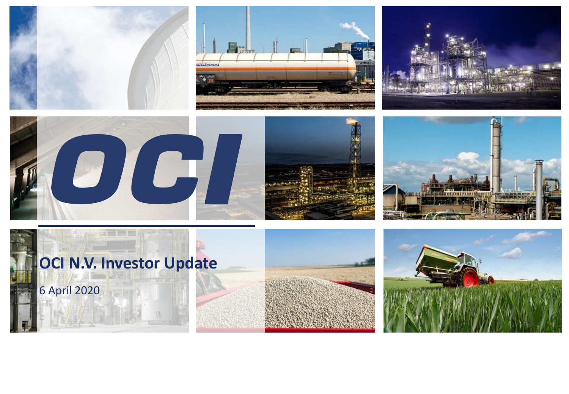











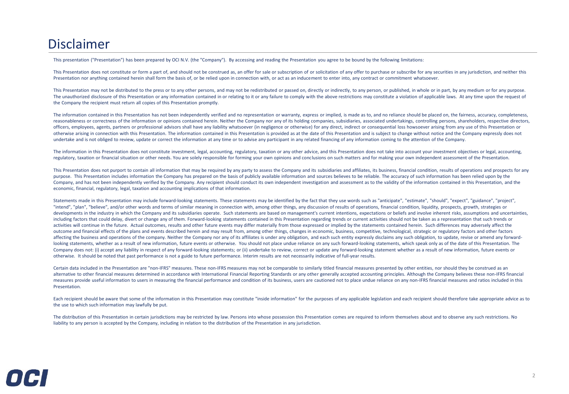## Disclaimer

This presentation ("Presentation") has been prepared by OCI N.V. (the "Company"). By accessing and reading the Presentation you agree to be bound by the following limitations:

This Presentation does not constitute or form a part of, and should not be construed as, an offer for sale or subscription of or solicitation of any offer to purchase or subscribe for any securities in any jurisdiction, an Presentation nor anything contained herein shall form the basis of, or be relied upon in connection with, or act as an inducement to enter into, any contract or commitment whatsoever.

This Presentation may not be distributed to the press or to any other persons, and may not be redistributed or passed on, directly or indirectly, to any person, or published, in whole or in part, by any medium or for any p The unauthorized disclosure of this Presentation or any information contained in or relating to it or any failure to comply with the above restrictions may constitute a violation of applicable laws. At any time upon the re the Company the recipient must return all copies of this Presentation promptly.

The information contained in this Presentation has not been independently verified and no representation or warranty, express or implied, is made as to, and no reliance should be placed on, the fairness, accuracy, complete reasonableness or correctness of the information or opinions contained herein. Neither the Company nor any of its holding companies, subsidiaries, associated undertakings, controlling persons, shareholders, respective dire officers, employees, agents, partners or professional advisors shall have any liability whatsoever (in negligence or otherwise) for any direct, indirect or consequential loss howsoever arising from any use of this Presenta otherwise arising in connection with this Presentation. The information contained in this Presentation is provided as at the date of this Presentation and is subject to change without notice and the Company expressly does undertake and is not obliged to review, update or correct the information at any time or to advise any participant in any related financing of any information coming to the attention of the Company.

The information in this Presentation does not constitute investment, legal, accounting, regulatory, taxation or any other advice, and this Presentation does not take into account your investment objectives or legal, accoun regulatory, taxation or financial situation or other needs. You are solely responsible for forming your own opinions and conclusions on such matters and for making your own independent assessment of the Presentation.

This Presentation does not purport to contain all information that may be required by any party to assess the Company and its subsidiaries and affiliates, its business, financial condition, results of operations and prospe purpose. This Presentation includes information the Company has prepared on the basis of publicly available information and sources believes to be reliable. The accuracy of such information has been relied upon by the Company, and has not been independently verified by the Company. Any recipient should conduct its own independent investigation and assessment as to the validity of the information contained in this Presentation, and the economic, financial, regulatory, legal, taxation and accounting implications of that information.

Statements made in this Presentation may include forward-looking statements. These statements may be identified by the fact that they use words such as "anticipate", "estimate", "should", "expect", "guidance", "project", "intend", "plan", "believe", and/or other words and terms of similar meaning in connection with, among other things, any discussion of results of operations, financial condition, liquidity, prospects, growth, strategies or developments in the industry in which the Company and its subsidiaries operate. Such statements are based on management's current intentions, expectations or beliefs and involve inherent risks, assumptions and uncertaintie including factors that could delay, divert or change any of them. Forward-looking statements contained in this Presentation regarding trends or current activities should not be taken as a representation that such trends or activities will continue in the future. Actual outcomes, results and other future events may differ materially from those expressed or implied by the statements contained herein. Such differences may adversely affect the outcome and financial effects of the plans and events described herein and may result from, among other things, changes in economic, business, competitive, technological, strategic or regulatory factors and other factors affecting the business and operations of the company. Neither the Company nor any of its affiliates is under any obligation, and each such entity expressly disclaims any such obligation, to update, revise or amend any forw looking statements, whether as a result of new information, future events or otherwise. You should not place undue reliance on any such forward-looking statements, which speak only as of the date of this Presentation. The Company does not: (i) accept any liability in respect of any forward-looking statements; or (ii) undertake to review, correct or update any forward-looking statement whether as a result of new information, future events or otherwise. It should be noted that past performance is not a guide to future performance. Interim results are not necessarily indicative of full-year results.

Certain data included in the Presentation are "non-IFRS" measures. These non-IFRS measures may not be comparable to similarly titled financial measures presented by other entities, nor should they be construed as an alternative to other financial measures determined in accordance with International Financial Reporting Standards or any other generally accepted accounting principles. Although the Company believes these non-IFRS financia measures provide useful information to users in measuring the financial performance and condition of its business, users are cautioned not to place undue reliance on any non-IFRS financial measures and ratios included in t Presentation.

Each recipient should be aware that some of the information in this Presentation may constitute "inside information" for the purposes of any applicable legislation and each recipient should therefore take appropriate advic the use to which such information may lawfully be put.

The distribution of this Presentation in certain jurisdictions may be restricted by law. Persons into whose possession this Presentation comes are required to inform themselves about and to observe any such restrictions. No liability to any person is accepted by the Company, including in relation to the distribution of the Presentation in any jurisdiction.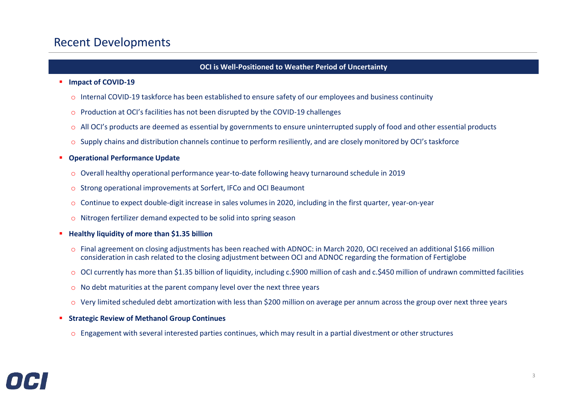### Recent Developments

### **OCI is Well-Positioned to Weather Period of Uncertainty**

#### ▪ **Impact of COVID-19**

- o Internal COVID-19 taskforce has been established to ensure safety of our employees and business continuity
- o Production at OCI's facilities has not been disrupted by the COVID-19 challenges
- o All OCI's products are deemed as essential by governments to ensure uninterrupted supply of food and other essential products
- $\circ$  Supply chains and distribution channels continue to perform resiliently, and are closely monitored by OCI's taskforce

#### **Operational Performance Update**

- o Overall healthy operational performance year-to-date following heavy turnaround schedule in 2019
- o Strong operational improvements at Sorfert, IFCo and OCI Beaumont
- o Continue to expect double-digit increase in sales volumes in 2020, including in the first quarter, year-on-year
- o Nitrogen fertilizer demand expected to be solid into spring season

#### **Healthy liquidity of more than \$1.35 billion**

- o Final agreement on closing adjustments has been reached with ADNOC: in March 2020, OCI received an additional \$166 million consideration in cash related to the closing adjustment between OCI and ADNOC regarding the formation of Fertiglobe
- o OCI currently has more than \$1.35 billion of liquidity, including c.\$900 million of cash and c.\$450 million of undrawn committed facilities
- o No debt maturities at the parent company level over the next three years
- $\circ$  Very limited scheduled debt amortization with less than \$200 million on average per annum across the group over next three years
- **Strategic Review of Methanol Group Continues** 
	- $\circ$  Engagement with several interested parties continues, which may result in a partial divestment or other structures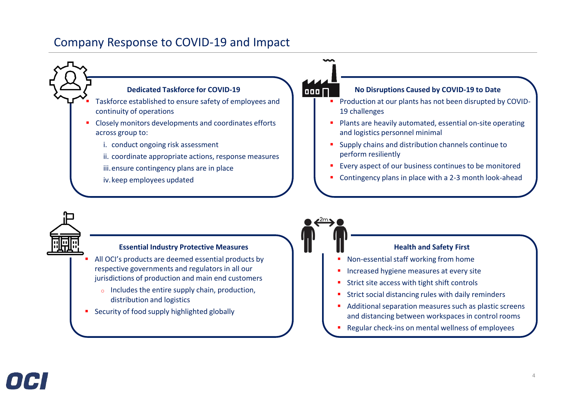### Company Response to COVID-19 and Impact





#### **Essential Industry Protective Measures**

- All OCI's products are deemed essential products by respective governments and regulators in all our jurisdictions of production and main end customers
	- o Includes the entire supply chain, production, distribution and logistics
- Security of food supply highlighted globally



- Non-essential staff working from home
- **·** Increased hygiene measures at every site
- Strict site access with tight shift controls
- Strict social distancing rules with daily reminders
- Additional separation measures such as plastic screens and distancing between workspaces in control rooms
- Regular check-ins on mental wellness of employees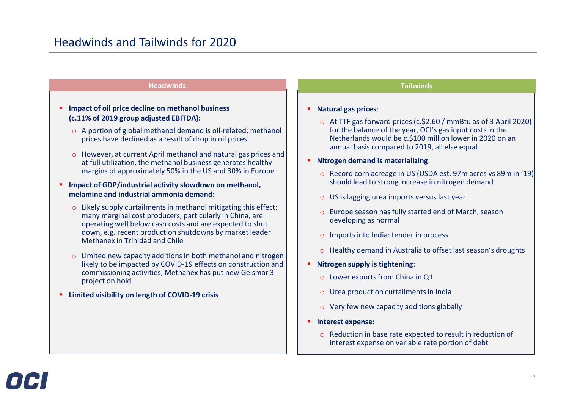#### **Headwinds Tailwinds**

#### ▪ **Impact of oil price decline on methanol business (c.11% of 2019 group adjusted EBITDA):**

- o A portion of global methanol demand is oil-related; methanol prices have declined as a result of drop in oil prices
- o However, at current April methanol and natural gas prices and at full utilization, the methanol business generates healthy margins of approximately 50% in the US and 30% in Europe

#### ■ **Impact of GDP/industrial activity slowdown on methanol, melamine and industrial ammonia demand:**

- o Likely supply curtailments in methanol mitigating this effect: many marginal cost producers, particularly in China, are operating well below cash costs and are expected to shut down, e.g. recent production shutdowns by market leader Methanex in Trinidad and Chile
- o Limited new capacity additions in both methanol and nitrogen likely to be impacted by COVID-19 effects on construction and commissioning activities; Methanex has put new Geismar 3 project on hold
- **Limited visibility on length of COVID-19 crisis**

#### ▪ **Natural gas prices**:

- o At TTF gas forward prices (c.\$2.60 / mmBtu as of 3 April 2020) for the balance of the year, OCI's gas input costs in the Netherlands would be c.\$100 million lower in 2020 on an annual basis compared to 2019, all else equal
- **Nitrogen demand is materializing**:
	- o Record corn acreage in US (USDA est. 97m acres vs 89m in '19) should lead to strong increase in nitrogen demand
	- o US is lagging urea imports versus last year
	- o Europe season has fully started end of March, season developing as normal
	- o Imports into India: tender in process
	- o Healthy demand in Australia to offset last season's droughts
- **Nitrogen supply is tightening**:
	- o Lower exports from China in Q1
	- o Urea production curtailments in India
	- o Very few new capacity additions globally
- **Interest expense:**
	- o Reduction in base rate expected to result in reduction of interest expense on variable rate portion of debt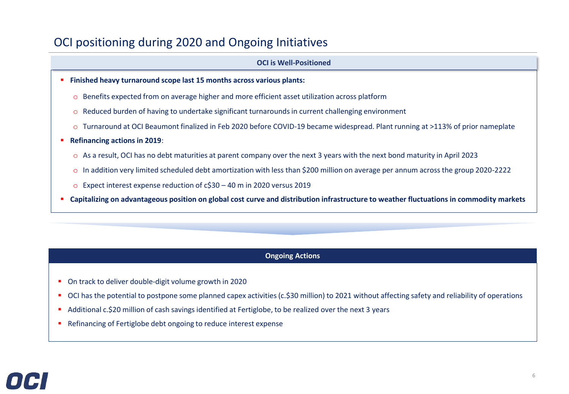### OCI positioning during 2020 and Ongoing Initiatives

#### **OCI is Well-Positioned**

- **Finished heavy turnaround scope last 15 months across various plants:**
	- o Benefits expected from on average higher and more efficient asset utilization across platform
	- o Reduced burden of having to undertake significant turnarounds in current challenging environment
	- o Turnaround at OCI Beaumont finalized in Feb 2020 before COVID-19 became widespread. Plant running at >113% of prior nameplate
- **Refinancing actions in 2019:** 
	- o As a result, OCI has no debt maturities at parent company over the next 3 years with the next bond maturity in April 2023
	- o In addition very limited scheduled debt amortization with less than \$200 million on average per annum across the group 2020-2222
	- o Expect interest expense reduction of c\$30 40 m in 2020 versus 2019
- **Capitalizing on advantageous position on global cost curve and distribution infrastructure to weather fluctuations in commodity markets**

#### **Ongoing Actions**

- On track to deliver double-digit volume growth in 2020
- OCI has the potential to postpone some planned capex activities (c.\$30 million) to 2021 without affecting safety and reliability of operations
- Additional c.\$20 million of cash savings identified at Fertiglobe, to be realized over the next 3 years
- Refinancing of Fertiglobe debt ongoing to reduce interest expense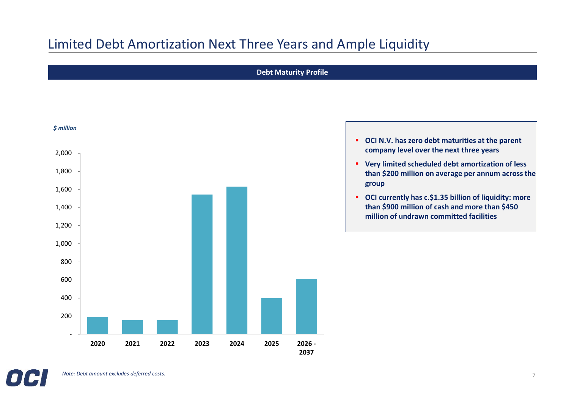# Limited Debt Amortization Next Three Years and Ample Liquidity